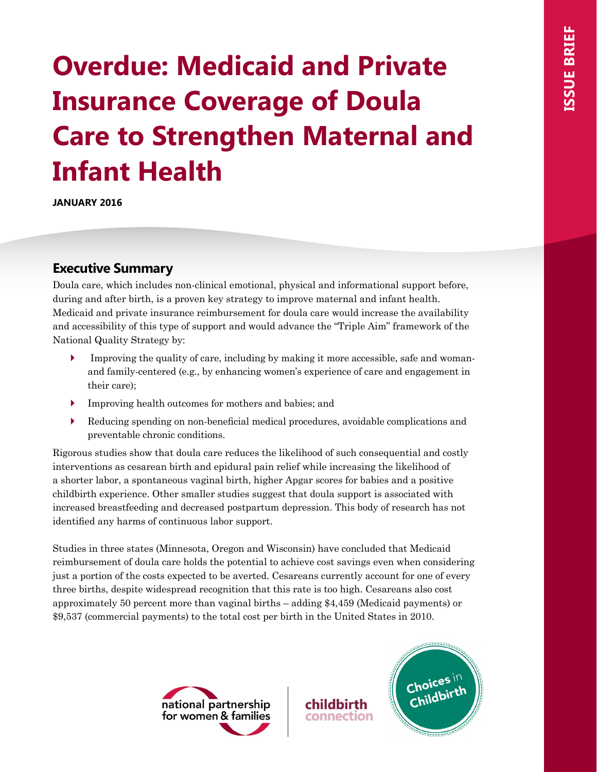# **Overdue: Medicaid and Private Insurance Coverage of Doula Care to Strengthen Maternal and Infant Health**

**JANUARY 2016**

# **Executive Summary**

Doula care, which includes non-clinical emotional, physical and informational support before, during and after birth, is a proven key strategy to improve maternal and infant health. Medicaid and private insurance reimbursement for doula care would increase the availability and accessibility of this type of support and would advance the "Triple Aim" framework of the National Quality Strategy by:

- Improving the quality of care, including by making it more accessible, safe and womanand family-centered (e.g., by enhancing women's experience of care and engagement in their care);
- ` Improving health outcomes for mothers and babies; and
- ` Reducing spending on non-beneficial medical procedures, avoidable complications and preventable chronic conditions.

Rigorous studies show that doula care reduces the likelihood of such consequential and costly interventions as cesarean birth and epidural pain relief while increasing the likelihood of a shorter labor, a spontaneous vaginal birth, higher Apgar scores for babies and a positive childbirth experience. Other smaller studies suggest that doula support is associated with increased breastfeeding and decreased postpartum depression. This body of research has not identified any harms of continuous labor support.

Studies in three states (Minnesota, Oregon and Wisconsin) have concluded that Medicaid reimbursement of doula care holds the potential to achieve cost savings even when considering just a portion of the costs expected to be averted. Cesareans currently account for one of every three births, despite widespread recognition that this rate is too high. Cesareans also cost approximately 50 percent more than vaginal births – adding \$4,459 (Medicaid payments) or \$9,537 (commercial payments) to the total cost per birth in the United States in 2010.



connection

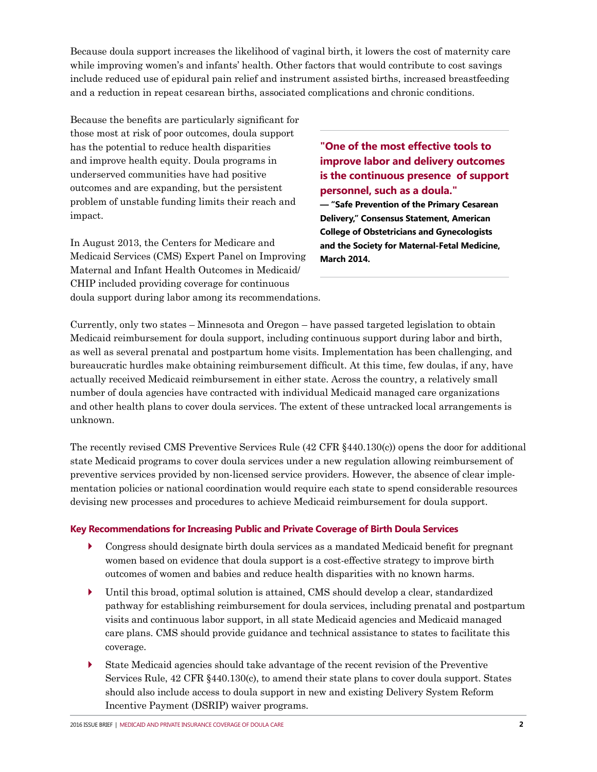Because doula support increases the likelihood of vaginal birth, it lowers the cost of maternity care while improving women's and infants' health. Other factors that would contribute to cost savings include reduced use of epidural pain relief and instrument assisted births, increased breastfeeding and a reduction in repeat cesarean births, associated complications and chronic conditions.

Because the benefits are particularly significant for those most at risk of poor outcomes, doula support has the potential to reduce health disparities and improve health equity. Doula programs in underserved communities have had positive outcomes and are expanding, but the persistent problem of unstable funding limits their reach and impact.

In August 2013, the Centers for Medicare and Medicaid Services (CMS) Expert Panel on Improving Maternal and Infant Health Outcomes in Medicaid/ CHIP included providing coverage for continuous doula support during labor among its recommendations.

**"One of the most effective tools to improve labor and delivery outcomes is the continuous presence of support personnel, such as a doula."** 

**— "Safe Prevention of the Primary Cesarean Delivery," Consensus Statement, American College of Obstetricians and Gynecologists and the Society for Maternal-Fetal Medicine, March 2014.** 

Currently, only two states – Minnesota and Oregon – have passed targeted legislation to obtain Medicaid reimbursement for doula support, including continuous support during labor and birth, as well as several prenatal and postpartum home visits. Implementation has been challenging, and bureaucratic hurdles make obtaining reimbursement difficult. At this time, few doulas, if any, have actually received Medicaid reimbursement in either state. Across the country, a relatively small number of doula agencies have contracted with individual Medicaid managed care organizations and other health plans to cover doula services. The extent of these untracked local arrangements is unknown.

The recently revised CMS Preventive Services Rule (42 CFR §440.130(c)) opens the door for additional state Medicaid programs to cover doula services under a new regulation allowing reimbursement of preventive services provided by non-licensed service providers. However, the absence of clear implementation policies or national coordination would require each state to spend considerable resources devising new processes and procedures to achieve Medicaid reimbursement for doula support.

## **Key Recommendations for Increasing Public and Private Coverage of Birth Doula Services**

- ` Congress should designate birth doula services as a mandated Medicaid benefit for pregnant women based on evidence that doula support is a cost-effective strategy to improve birth outcomes of women and babies and reduce health disparities with no known harms.
- ` Until this broad, optimal solution is attained, CMS should develop a clear, standardized pathway for establishing reimbursement for doula services, including prenatal and postpartum visits and continuous labor support, in all state Medicaid agencies and Medicaid managed care plans. CMS should provide guidance and technical assistance to states to facilitate this coverage.
- ` State Medicaid agencies should take advantage of the recent revision of the Preventive Services Rule, 42 CFR §440.130(c), to amend their state plans to cover doula support. States should also include access to doula support in new and existing Delivery System Reform Incentive Payment (DSRIP) waiver programs.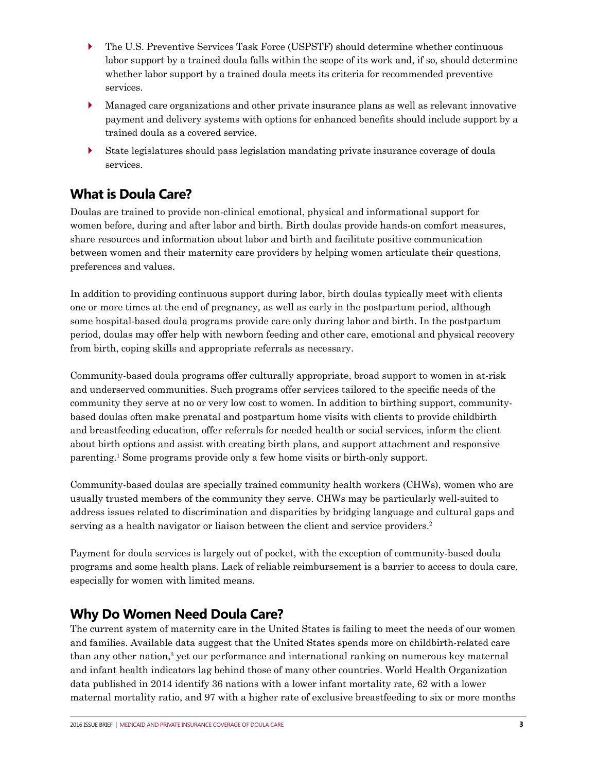- ` The U.S. Preventive Services Task Force (USPSTF) should determine whether continuous labor support by a trained doula falls within the scope of its work and, if so, should determine whether labor support by a trained doula meets its criteria for recommended preventive services.
- ` Managed care organizations and other private insurance plans as well as relevant innovative payment and delivery systems with options for enhanced benefits should include support by a trained doula as a covered service.
- ` State legislatures should pass legislation mandating private insurance coverage of doula services.

# **What is Doula Care?**

Doulas are trained to provide non-clinical emotional, physical and informational support for women before, during and after labor and birth. Birth doulas provide hands-on comfort measures, share resources and information about labor and birth and facilitate positive communication between women and their maternity care providers by helping women articulate their questions, preferences and values.

In addition to providing continuous support during labor, birth doulas typically meet with clients one or more times at the end of pregnancy, as well as early in the postpartum period, although some hospital-based doula programs provide care only during labor and birth. In the postpartum period, doulas may offer help with newborn feeding and other care, emotional and physical recovery from birth, coping skills and appropriate referrals as necessary.

Community-based doula programs offer culturally appropriate, broad support to women in at-risk and underserved communities. Such programs offer services tailored to the specific needs of the community they serve at no or very low cost to women. In addition to birthing support, communitybased doulas often make prenatal and postpartum home visits with clients to provide childbirth and breastfeeding education, offer referrals for needed health or social services, inform the client about birth options and assist with creating birth plans, and support attachment and responsive parenting.1 Some programs provide only a few home visits or birth-only support.

Community-based doulas are specially trained community health workers (CHWs), women who are usually trusted members of the community they serve. CHWs may be particularly well-suited to address issues related to discrimination and disparities by bridging language and cultural gaps and serving as a health navigator or liaison between the client and service providers.<sup>2</sup>

Payment for doula services is largely out of pocket, with the exception of community-based doula programs and some health plans. Lack of reliable reimbursement is a barrier to access to doula care, especially for women with limited means.

# **Why Do Women Need Doula Care?**

The current system of maternity care in the United States is failing to meet the needs of our women and families. Available data suggest that the United States spends more on childbirth-related care than any other nation,<sup>3</sup> yet our performance and international ranking on numerous key maternal and infant health indicators lag behind those of many other countries. World Health Organization data published in 2014 identify 36 nations with a lower infant mortality rate, 62 with a lower maternal mortality ratio, and 97 with a higher rate of exclusive breastfeeding to six or more months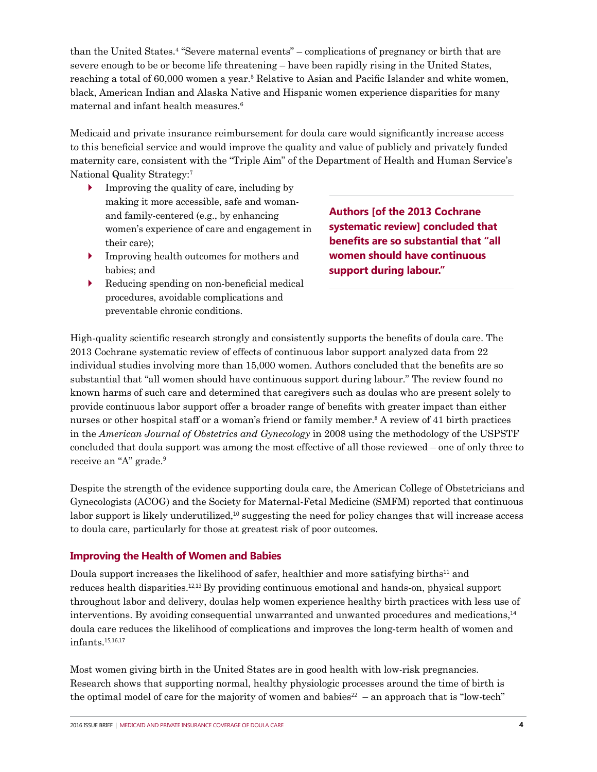than the United States.4 "Severe maternal events" – complications of pregnancy or birth that are severe enough to be or become life threatening – have been rapidly rising in the United States, reaching a total of 60,000 women a year.<sup>5</sup> Relative to Asian and Pacific Islander and white women, black, American Indian and Alaska Native and Hispanic women experience disparities for many maternal and infant health measures.<sup>6</sup>

Medicaid and private insurance reimbursement for doula care would significantly increase access to this beneficial service and would improve the quality and value of publicly and privately funded maternity care, consistent with the "Triple Aim" of the Department of Health and Human Service's National Quality Strategy:7

- ` Improving the quality of care, including by making it more accessible, safe and womanand family-centered (e.g., by enhancing women's experience of care and engagement in their care);
- ` Improving health outcomes for mothers and babies; and
- $\triangleright$  Reducing spending on non-beneficial medical procedures, avoidable complications and preventable chronic conditions.

**Authors [of the 2013 Cochrane systematic review] concluded that benefits are so substantial that "all women should have continuous support during labour."** 

High-quality scientific research strongly and consistently supports the benefits of doula care. The 2013 Cochrane systematic review of effects of continuous labor support analyzed data from 22 individual studies involving more than 15,000 women. Authors concluded that the benefits are so substantial that "all women should have continuous support during labour." The review found no known harms of such care and determined that caregivers such as doulas who are present solely to provide continuous labor support offer a broader range of benefits with greater impact than either nurses or other hospital staff or a woman's friend or family member.<sup>8</sup> A review of 41 birth practices in the *American Journal of Obstetrics and Gynecology* in 2008 using the methodology of the USPSTF concluded that doula support was among the most effective of all those reviewed – one of only three to receive an "A" grade.<sup>9</sup>

Despite the strength of the evidence supporting doula care, the American College of Obstetricians and Gynecologists (ACOG) and the Society for Maternal-Fetal Medicine (SMFM) reported that continuous labor support is likely underutilized, $10$  suggesting the need for policy changes that will increase access to doula care, particularly for those at greatest risk of poor outcomes.

# **Improving the Health of Women and Babies**

Doula support increases the likelihood of safer, healthier and more satisfying births $11$  and reduces health disparities.12,13 By providing continuous emotional and hands-on, physical support throughout labor and delivery, doulas help women experience healthy birth practices with less use of interventions. By avoiding consequential unwarranted and unwanted procedures and medications,<sup>14</sup> doula care reduces the likelihood of complications and improves the long-term health of women and infants.15,16,17

Most women giving birth in the United States are in good health with low-risk pregnancies. Research shows that supporting normal, healthy physiologic processes around the time of birth is the optimal model of care for the majority of women and babies<sup>22</sup> – an approach that is "low-tech"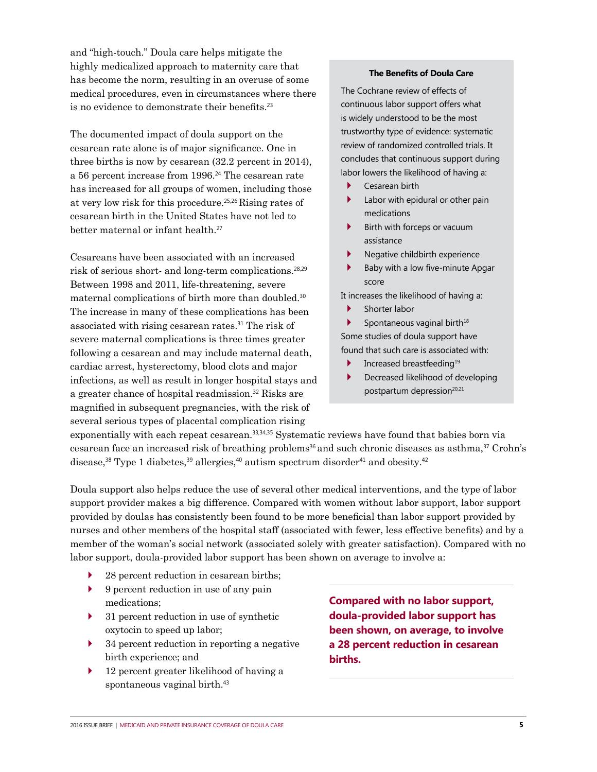and "high-touch." Doula care helps mitigate the highly medicalized approach to maternity care that has become the norm, resulting in an overuse of some medical procedures, even in circumstances where there is no evidence to demonstrate their benefits.<sup>23</sup>

The documented impact of doula support on the cesarean rate alone is of major significance. One in three births is now by cesarean (32.2 percent in 2014), a 56 percent increase from 1996.<sup>24</sup> The cesarean rate has increased for all groups of women, including those at very low risk for this procedure.25,26 Rising rates of cesarean birth in the United States have not led to better maternal or infant health.<sup>27</sup>

Cesareans have been associated with an increased risk of serious short- and long-term complications.28,29 Between 1998 and 2011, life-threatening, severe maternal complications of birth more than doubled.<sup>30</sup> The increase in many of these complications has been associated with rising cesarean rates.<sup>31</sup> The risk of severe maternal complications is three times greater following a cesarean and may include maternal death, cardiac arrest, hysterectomy, blood clots and major infections, as well as result in longer hospital stays and a greater chance of hospital readmission.<sup>32</sup> Risks are magnified in subsequent pregnancies, with the risk of several serious types of placental complication rising

#### **The Benefits of Doula Care**

The Cochrane review of effects of continuous labor support offers what is widely understood to be the most trustworthy type of evidence: systematic review of randomized controlled trials. It concludes that continuous support during labor lowers the likelihood of having a:

- Cesarean birth
- Labor with epidural or other pain medications
- Birth with forceps or vacuum assistance
- Negative childbirth experience
- ` Baby with a low five-minute Apgar score

It increases the likelihood of having a:

Shorter labor

Spontaneous vaginal birth $18$ Some studies of doula support have found that such care is associated with:

- Increased breastfeeding<sup>19</sup>
- ` Decreased likelihood of developing postpartum depression<sup>20,21</sup>

exponentially with each repeat cesarean.<sup>33,34,35</sup> Systematic reviews have found that babies born via cesarean face an increased risk of breathing problems<sup>36</sup> and such chronic diseases as asthma,<sup>37</sup> Crohn's disease,<sup>38</sup> Type 1 diabetes,<sup>39</sup> allergies,<sup>40</sup> autism spectrum disorder<sup>41</sup> and obesity.<sup>42</sup>

Doula support also helps reduce the use of several other medical interventions, and the type of labor support provider makes a big difference. Compared with women without labor support, labor support provided by doulas has consistently been found to be more beneficial than labor support provided by nurses and other members of the hospital staff (associated with fewer, less effective benefits) and by a member of the woman's social network (associated solely with greater satisfaction). Compared with no labor support, doula-provided labor support has been shown on average to involve a:

- $\triangleright$  28 percent reduction in cesarean births;
- ` 9 percent reduction in use of any pain medications;
- 31 percent reduction in use of synthetic oxytocin to speed up labor;
- 34 percent reduction in reporting a negative birth experience; and
- ` 12 percent greater likelihood of having a spontaneous vaginal birth.<sup>43</sup>

**Compared with no labor support, doula-provided labor support has been shown, on average, to involve a 28 percent reduction in cesarean births.**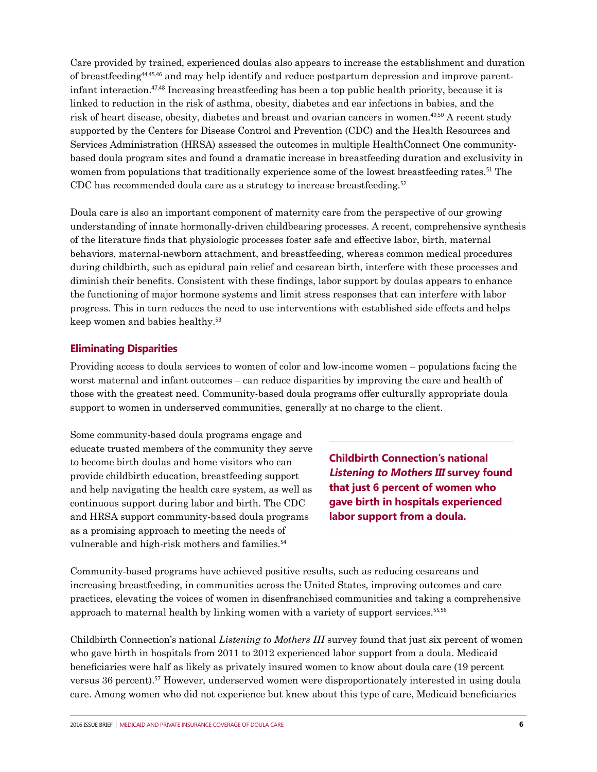Care provided by trained, experienced doulas also appears to increase the establishment and duration of breastfeeding44,45,46 and may help identify and reduce postpartum depression and improve parentinfant interaction.47,48 Increasing breastfeeding has been a top public health priority, because it is linked to reduction in the risk of asthma, obesity, diabetes and ear infections in babies, and the risk of heart disease, obesity, diabetes and breast and ovarian cancers in women.49,50 A recent study supported by the Centers for Disease Control and Prevention (CDC) and the Health Resources and Services Administration (HRSA) assessed the outcomes in multiple HealthConnect One communitybased doula program sites and found a dramatic increase in breastfeeding duration and exclusivity in women from populations that traditionally experience some of the lowest breastfeeding rates.<sup>51</sup> The CDC has recommended doula care as a strategy to increase breastfeeding.<sup>52</sup>

Doula care is also an important component of maternity care from the perspective of our growing understanding of innate hormonally-driven childbearing processes. A recent, comprehensive synthesis of the literature finds that physiologic processes foster safe and effective labor, birth, maternal behaviors, maternal-newborn attachment, and breastfeeding, whereas common medical procedures during childbirth, such as epidural pain relief and cesarean birth, interfere with these processes and diminish their benefits. Consistent with these findings, labor support by doulas appears to enhance the functioning of major hormone systems and limit stress responses that can interfere with labor progress. This in turn reduces the need to use interventions with established side effects and helps keep women and babies healthy.<sup>53</sup>

## **Eliminating Disparities**

Providing access to doula services to women of color and low-income women – populations facing the worst maternal and infant outcomes – can reduce disparities by improving the care and health of those with the greatest need. Community-based doula programs offer culturally appropriate doula support to women in underserved communities, generally at no charge to the client.

Some community-based doula programs engage and educate trusted members of the community they serve to become birth doulas and home visitors who can provide childbirth education, breastfeeding support and help navigating the health care system, as well as continuous support during labor and birth. The CDC and HRSA support community-based doula programs as a promising approach to meeting the needs of vulnerable and high-risk mothers and families.<sup>54</sup>

**Childbirth Connection's national Listening to Mothers III survey found that just 6 percent of women who gave birth in hospitals experienced labor support from a doula.** 

Community-based programs have achieved positive results, such as reducing cesareans and increasing breastfeeding, in communities across the United States, improving outcomes and care practices, elevating the voices of women in disenfranchised communities and taking a comprehensive approach to maternal health by linking women with a variety of support services.55,56

Childbirth Connection's national *Listening to Mothers III* survey found that just six percent of women who gave birth in hospitals from 2011 to 2012 experienced labor support from a doula. Medicaid beneficiaries were half as likely as privately insured women to know about doula care (19 percent versus 36 percent).<sup>57</sup> However, underserved women were disproportionately interested in using doula care. Among women who did not experience but knew about this type of care, Medicaid beneficiaries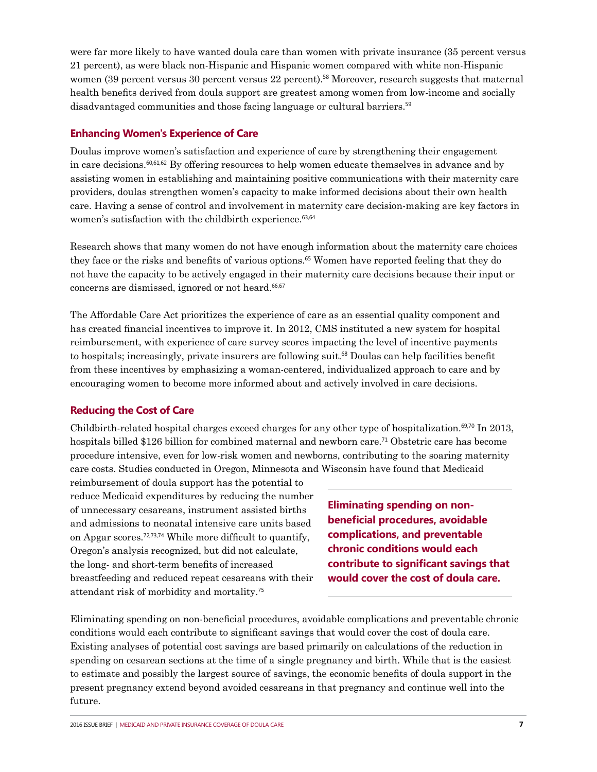were far more likely to have wanted doula care than women with private insurance (35 percent versus 21 percent), as were black non-Hispanic and Hispanic women compared with white non-Hispanic women (39 percent versus 30 percent versus 22 percent).<sup>58</sup> Moreover, research suggests that maternal health benefits derived from doula support are greatest among women from low-income and socially disadvantaged communities and those facing language or cultural barriers.<sup>59</sup>

## **Enhancing Women's Experience of Care**

Doulas improve women's satisfaction and experience of care by strengthening their engagement in care decisions.60,61,62 By offering resources to help women educate themselves in advance and by assisting women in establishing and maintaining positive communications with their maternity care providers, doulas strengthen women's capacity to make informed decisions about their own health care. Having a sense of control and involvement in maternity care decision-making are key factors in women's satisfaction with the childbirth experience.<sup>63,64</sup>

Research shows that many women do not have enough information about the maternity care choices they face or the risks and benefits of various options.<sup>65</sup> Women have reported feeling that they do not have the capacity to be actively engaged in their maternity care decisions because their input or concerns are dismissed, ignored or not heard.<sup>66,67</sup>

The Affordable Care Act prioritizes the experience of care as an essential quality component and has created financial incentives to improve it. In 2012, CMS instituted a new system for hospital reimbursement, with experience of care survey scores impacting the level of incentive payments to hospitals; increasingly, private insurers are following suit.<sup>68</sup> Doulas can help facilities benefit from these incentives by emphasizing a woman-centered, individualized approach to care and by encouraging women to become more informed about and actively involved in care decisions.

# **Reducing the Cost of Care**

Childbirth-related hospital charges exceed charges for any other type of hospitalization.69,70 In 2013, hospitals billed \$126 billion for combined maternal and newborn care.<sup>71</sup> Obstetric care has become procedure intensive, even for low-risk women and newborns, contributing to the soaring maternity care costs. Studies conducted in Oregon, Minnesota and Wisconsin have found that Medicaid

reimbursement of doula support has the potential to reduce Medicaid expenditures by reducing the number of unnecessary cesareans, instrument assisted births and admissions to neonatal intensive care units based on Apgar scores.72,73,74 While more difficult to quantify, Oregon's analysis recognized, but did not calculate, the long- and short-term benefits of increased breastfeeding and reduced repeat cesareans with their attendant risk of morbidity and mortality.<sup>75</sup>

**Eliminating spending on nonbeneficial procedures, avoidable complications, and preventable chronic conditions would each contribute to significant savings that would cover the cost of doula care.** 

Eliminating spending on non-beneficial procedures, avoidable complications and preventable chronic conditions would each contribute to significant savings that would cover the cost of doula care. Existing analyses of potential cost savings are based primarily on calculations of the reduction in spending on cesarean sections at the time of a single pregnancy and birth. While that is the easiest to estimate and possibly the largest source of savings, the economic benefits of doula support in the present pregnancy extend beyond avoided cesareans in that pregnancy and continue well into the future.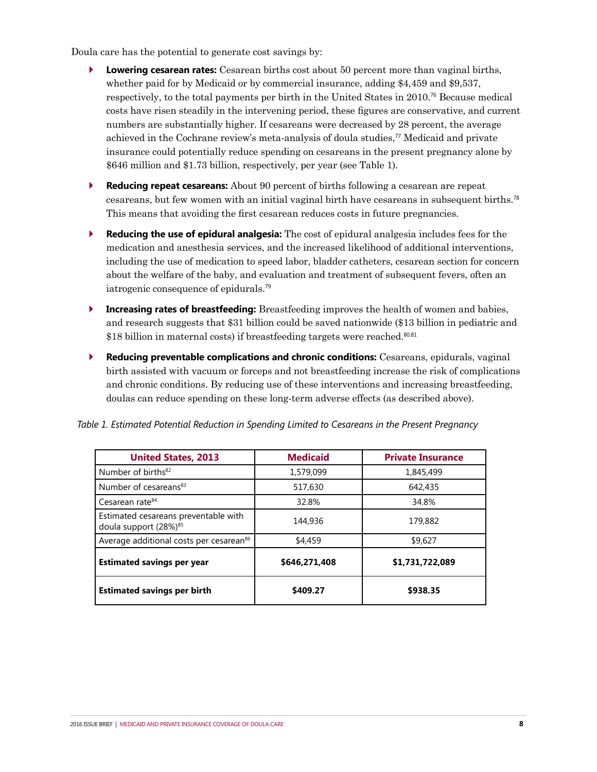Doula care has the potential to generate cost savings by:

- ` **Lowering cesarean rates:** Cesarean births cost about 50 percent more than vaginal births, whether paid for by Medicaid or by commercial insurance, adding \$4,459 and \$9,537, respectively, to the total payments per birth in the United States in 2010.<sup>76</sup> Because medical costs have risen steadily in the intervening period, these figures are conservative, and current numbers are substantially higher. If cesareans were decreased by 28 percent, the average achieved in the Cochrane review's meta-analysis of doula studies,<sup>77</sup> Medicaid and private insurance could potentially reduce spending on cesareans in the present pregnancy alone by \$646 million and \$1.73 billion, respectively, per year (see Table 1).
- ` **Reducing repeat cesareans:** About 90 percent of births following a cesarean are repeat cesareans, but few women with an initial vaginal birth have cesareans in subsequent births.<sup>78</sup> This means that avoiding the first cesarean reduces costs in future pregnancies.
- ` **Reducing the use of epidural analgesia:** The cost of epidural analgesia includes fees for the medication and anesthesia services, and the increased likelihood of additional interventions, including the use of medication to speed labor, bladder catheters, cesarean section for concern about the welfare of the baby, and evaluation and treatment of subsequent fevers, often an iatrogenic consequence of epidurals.<sup>79</sup>
- **Increasing rates of breastfeeding:** Breastfeeding improves the health of women and babies, and research suggests that \$31 billion could be saved nationwide (\$13 billion in pediatric and \$18 billion in maternal costs) if breastfeeding targets were reached.<sup>80,81</sup>
- ` **Reducing preventable complications and chronic conditions:** Cesareans, epidurals, vaginal birth assisted with vacuum or forceps and not breastfeeding increase the risk of complications and chronic conditions. By reducing use of these interventions and increasing breastfeeding, doulas can reduce spending on these long-term adverse effects (as described above).

| <b>United States, 2013</b>                                                | <b>Medicaid</b> | <b>Private Insurance</b> |
|---------------------------------------------------------------------------|-----------------|--------------------------|
| Number of births <sup>82</sup>                                            | 1,579,099       | 1,845,499                |
| Number of cesareans <sup>83</sup>                                         | 517,630         | 642,435                  |
| Cesarean rate <sup>84</sup>                                               | 32.8%           | 34.8%                    |
| Estimated cesareans preventable with<br>doula support (28%) <sup>85</sup> | 144,936         | 179,882                  |
| Average additional costs per cesarean <sup>86</sup>                       | \$4,459         | \$9,627                  |
| <b>Estimated savings per year</b>                                         | \$646,271,408   | \$1,731,722,089          |
| <b>Estimated savings per birth</b>                                        | \$409.27        | \$938.35                 |

*Table 1. Estimated Potential Reduction in Spending Limited to Cesareans in the Present Pregnancy*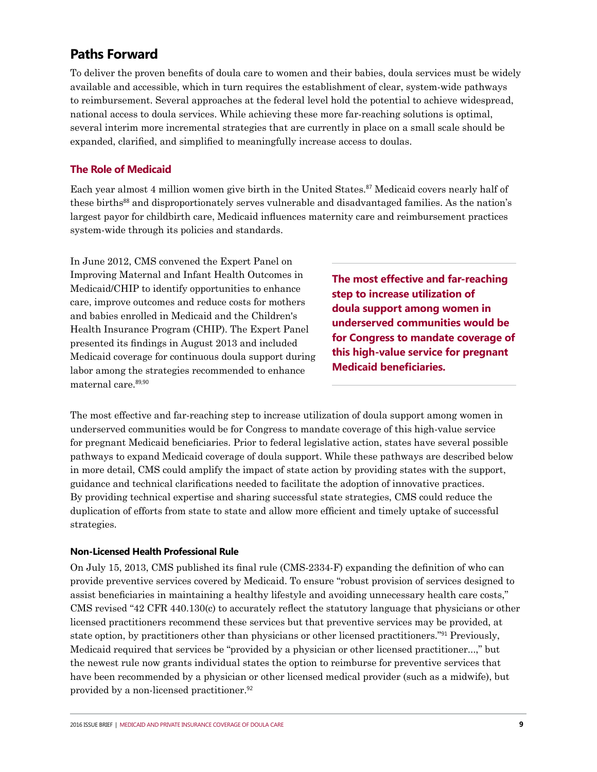# **Paths Forward**

To deliver the proven benefits of doula care to women and their babies, doula services must be widely available and accessible, which in turn requires the establishment of clear, system-wide pathways to reimbursement. Several approaches at the federal level hold the potential to achieve widespread, national access to doula services. While achieving these more far-reaching solutions is optimal, several interim more incremental strategies that are currently in place on a small scale should be expanded, clarified, and simplified to meaningfully increase access to doulas.

## **The Role of Medicaid**

Each year almost 4 million women give birth in the United States.<sup>87</sup> Medicaid covers nearly half of these births<sup>88</sup> and disproportionately serves vulnerable and disadvantaged families. As the nation's largest payor for childbirth care, Medicaid influences maternity care and reimbursement practices system-wide through its policies and standards.

In June 2012, CMS convened the Expert Panel on Improving Maternal and Infant Health Outcomes in Medicaid/CHIP to identify opportunities to enhance care, improve outcomes and reduce costs for mothers and babies enrolled in Medicaid and the Children's Health Insurance Program (CHIP). The Expert Panel presented its findings in August 2013 and included Medicaid coverage for continuous doula support during labor among the strategies recommended to enhance maternal care.89,90

**The most effective and far-reaching step to increase utilization of doula support among women in underserved communities would be for Congress to mandate coverage of this high-value service for pregnant Medicaid beneficiaries.**

The most effective and far-reaching step to increase utilization of doula support among women in underserved communities would be for Congress to mandate coverage of this high-value service for pregnant Medicaid beneficiaries. Prior to federal legislative action, states have several possible pathways to expand Medicaid coverage of doula support. While these pathways are described below in more detail, CMS could amplify the impact of state action by providing states with the support, guidance and technical clarifications needed to facilitate the adoption of innovative practices. By providing technical expertise and sharing successful state strategies, CMS could reduce the duplication of efforts from state to state and allow more efficient and timely uptake of successful strategies.

#### **Non-Licensed Health Professional Rule**

On July 15, 2013, CMS published its final rule (CMS-2334-F) expanding the definition of who can provide preventive services covered by Medicaid. To ensure "robust provision of services designed to assist beneficiaries in maintaining a healthy lifestyle and avoiding unnecessary health care costs," CMS revised "42 CFR 440.130(c) to accurately reflect the statutory language that physicians or other licensed practitioners recommend these services but that preventive services may be provided, at state option, by practitioners other than physicians or other licensed practitioners."<sup>91</sup> Previously, Medicaid required that services be "provided by a physician or other licensed practitioner...," but the newest rule now grants individual states the option to reimburse for preventive services that have been recommended by a physician or other licensed medical provider (such as a midwife), but provided by a non-licensed practitioner.<sup>92</sup>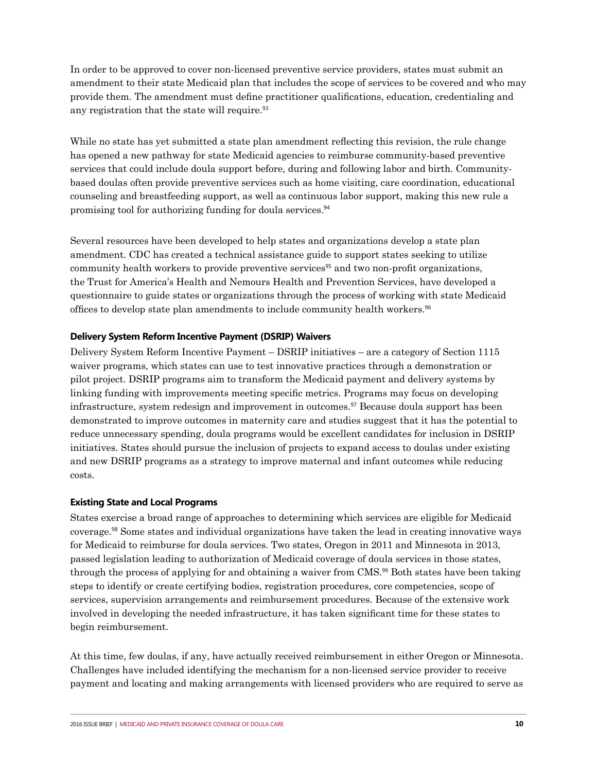In order to be approved to cover non-licensed preventive service providers, states must submit an amendment to their state Medicaid plan that includes the scope of services to be covered and who may provide them. The amendment must define practitioner qualifications, education, credentialing and any registration that the state will require.<sup>93</sup>

While no state has yet submitted a state plan amendment reflecting this revision, the rule change has opened a new pathway for state Medicaid agencies to reimburse community-based preventive services that could include doula support before, during and following labor and birth. Communitybased doulas often provide preventive services such as home visiting, care coordination, educational counseling and breastfeeding support, as well as continuous labor support, making this new rule a promising tool for authorizing funding for doula services.<sup>94</sup>

Several resources have been developed to help states and organizations develop a state plan amendment. CDC has created a technical assistance guide to support states seeking to utilize community health workers to provide preventive services<sup>95</sup> and two non-profit organizations, the Trust for America's Health and Nemours Health and Prevention Services, have developed a questionnaire to guide states or organizations through the process of working with state Medicaid offices to develop state plan amendments to include community health workers.<sup>96</sup>

## **Delivery System Reform Incentive Payment (DSRIP) Waivers**

Delivery System Reform Incentive Payment – DSRIP initiatives – are a category of Section 1115 waiver programs, which states can use to test innovative practices through a demonstration or pilot project. DSRIP programs aim to transform the Medicaid payment and delivery systems by linking funding with improvements meeting specific metrics. Programs may focus on developing infrastructure, system redesign and improvement in outcomes.<sup>97</sup> Because doula support has been demonstrated to improve outcomes in maternity care and studies suggest that it has the potential to reduce unnecessary spending, doula programs would be excellent candidates for inclusion in DSRIP initiatives. States should pursue the inclusion of projects to expand access to doulas under existing and new DSRIP programs as a strategy to improve maternal and infant outcomes while reducing costs.

#### **Existing State and Local Programs**

States exercise a broad range of approaches to determining which services are eligible for Medicaid coverage.<sup>98</sup> Some states and individual organizations have taken the lead in creating innovative ways for Medicaid to reimburse for doula services. Two states, Oregon in 2011 and Minnesota in 2013, passed legislation leading to authorization of Medicaid coverage of doula services in those states, through the process of applying for and obtaining a waiver from CMS.<sup>99</sup> Both states have been taking steps to identify or create certifying bodies, registration procedures, core competencies, scope of services, supervision arrangements and reimbursement procedures. Because of the extensive work involved in developing the needed infrastructure, it has taken significant time for these states to begin reimbursement.

At this time, few doulas, if any, have actually received reimbursement in either Oregon or Minnesota. Challenges have included identifying the mechanism for a non-licensed service provider to receive payment and locating and making arrangements with licensed providers who are required to serve as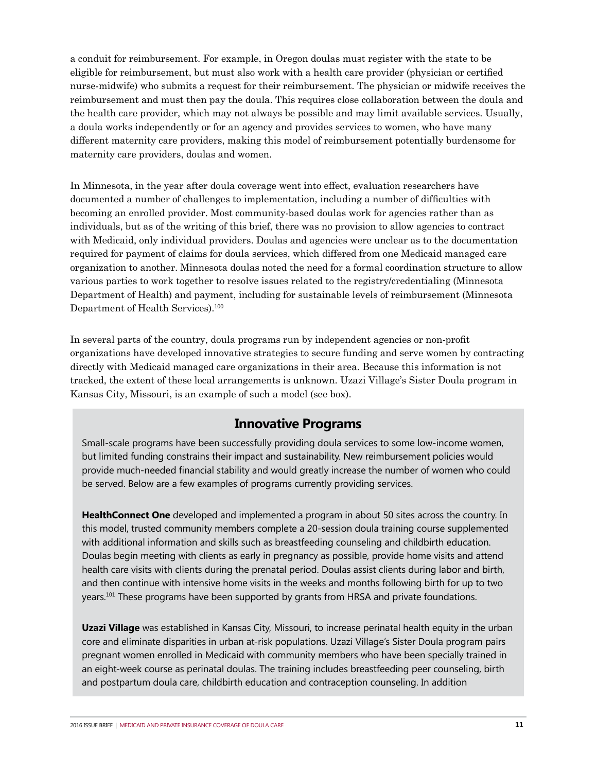a conduit for reimbursement. For example, in Oregon doulas must register with the state to be eligible for reimbursement, but must also work with a health care provider (physician or certified nurse-midwife) who submits a request for their reimbursement. The physician or midwife receives the reimbursement and must then pay the doula. This requires close collaboration between the doula and the health care provider, which may not always be possible and may limit available services. Usually, a doula works independently or for an agency and provides services to women, who have many different maternity care providers, making this model of reimbursement potentially burdensome for maternity care providers, doulas and women.

In Minnesota, in the year after doula coverage went into effect, evaluation researchers have documented a number of challenges to implementation, including a number of difficulties with becoming an enrolled provider. Most community-based doulas work for agencies rather than as individuals, but as of the writing of this brief, there was no provision to allow agencies to contract with Medicaid, only individual providers. Doulas and agencies were unclear as to the documentation required for payment of claims for doula services, which differed from one Medicaid managed care organization to another. Minnesota doulas noted the need for a formal coordination structure to allow various parties to work together to resolve issues related to the registry/credentialing (Minnesota Department of Health) and payment, including for sustainable levels of reimbursement (Minnesota Department of Health Services).<sup>100</sup>

In several parts of the country, doula programs run by independent agencies or non-profit organizations have developed innovative strategies to secure funding and serve women by contracting directly with Medicaid managed care organizations in their area. Because this information is not tracked, the extent of these local arrangements is unknown. Uzazi Village's Sister Doula program in Kansas City, Missouri, is an example of such a model (see box).

# **Innovative Programs**

Small-scale programs have been successfully providing doula services to some low-income women, but limited funding constrains their impact and sustainability. New reimbursement policies would provide much-needed financial stability and would greatly increase the number of women who could be served. Below are a few examples of programs currently providing services.

**HealthConnect One** developed and implemented a program in about 50 sites across the country. In this model, trusted community members complete a 20-session doula training course supplemented with additional information and skills such as breastfeeding counseling and childbirth education. Doulas begin meeting with clients as early in pregnancy as possible, provide home visits and attend health care visits with clients during the prenatal period. Doulas assist clients during labor and birth, and then continue with intensive home visits in the weeks and months following birth for up to two years.101 These programs have been supported by grants from HRSA and private foundations.

**Uzazi Village** was established in Kansas City, Missouri, to increase perinatal health equity in the urban core and eliminate disparities in urban at-risk populations. Uzazi Village's Sister Doula program pairs pregnant women enrolled in Medicaid with community members who have been specially trained in an eight-week course as perinatal doulas. The training includes breastfeeding peer counseling, birth and postpartum doula care, childbirth education and contraception counseling. In addition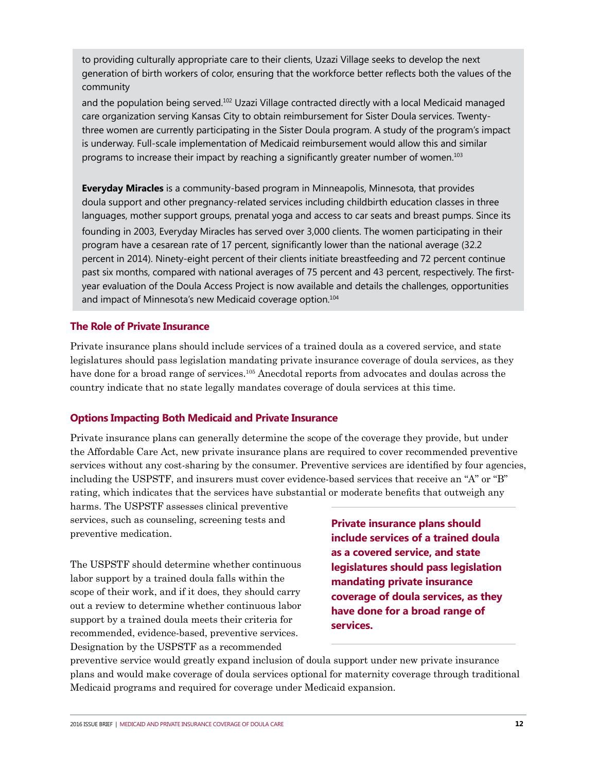to providing culturally appropriate care to their clients, Uzazi Village seeks to develop the next generation of birth workers of color, ensuring that the workforce better reflects both the values of the community

and the population being served.102 Uzazi Village contracted directly with a local Medicaid managed care organization serving Kansas City to obtain reimbursement for Sister Doula services. Twentythree women are currently participating in the Sister Doula program. A study of the program's impact is underway. Full-scale implementation of Medicaid reimbursement would allow this and similar programs to increase their impact by reaching a significantly greater number of women.<sup>103</sup>

**Everyday Miracles** is a community-based program in Minneapolis, Minnesota, that provides doula support and other pregnancy-related services including childbirth education classes in three languages, mother support groups, prenatal yoga and access to car seats and breast pumps. Since its founding in 2003, Everyday Miracles has served over 3,000 clients. The women participating in their program have a cesarean rate of 17 percent, significantly lower than the national average (32.2 percent in 2014). Ninety-eight percent of their clients initiate breastfeeding and 72 percent continue past six months, compared with national averages of 75 percent and 43 percent, respectively. The firstyear evaluation of the Doula Access Project is now available and details the challenges, opportunities and impact of Minnesota's new Medicaid coverage option.<sup>104</sup>

#### **The Role of Private Insurance**

Private insurance plans should include services of a trained doula as a covered service, and state legislatures should pass legislation mandating private insurance coverage of doula services, as they have done for a broad range of services.<sup>105</sup> Anecdotal reports from advocates and doulas across the country indicate that no state legally mandates coverage of doula services at this time.

## **Options Impacting Both Medicaid and Private Insurance**

Private insurance plans can generally determine the scope of the coverage they provide, but under the Affordable Care Act, new private insurance plans are required to cover recommended preventive services without any cost-sharing by the consumer. Preventive services are identified by four agencies, including the USPSTF, and insurers must cover evidence-based services that receive an "A" or "B" rating, which indicates that the services have substantial or moderate benefits that outweigh any

harms. The USPSTF assesses clinical preventive services, such as counseling, screening tests and preventive medication.

The USPSTF should determine whether continuous labor support by a trained doula falls within the scope of their work, and if it does, they should carry out a review to determine whether continuous labor support by a trained doula meets their criteria for recommended, evidence-based, preventive services. Designation by the USPSTF as a recommended

**Private insurance plans should include services of a trained doula as a covered service, and state legislatures should pass legislation mandating private insurance coverage of doula services, as they have done for a broad range of services.**

preventive service would greatly expand inclusion of doula support under new private insurance plans and would make coverage of doula services optional for maternity coverage through traditional Medicaid programs and required for coverage under Medicaid expansion.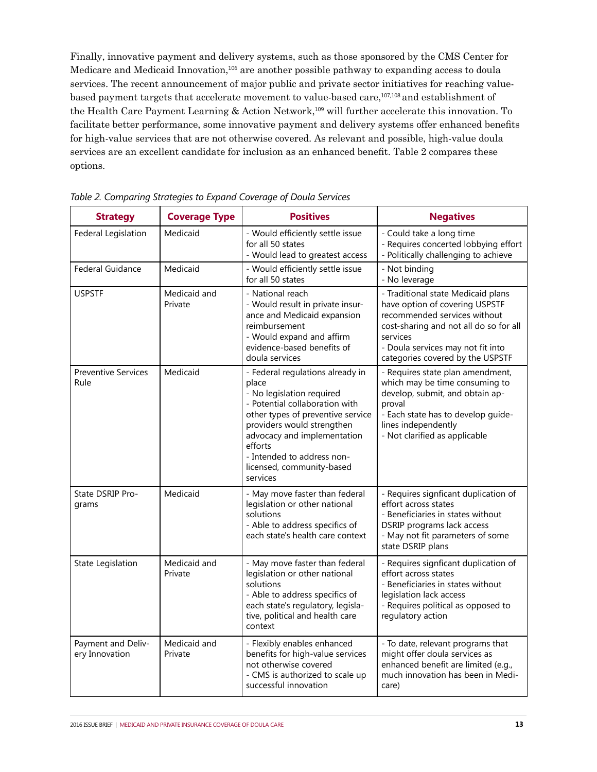Finally, innovative payment and delivery systems, such as those sponsored by the CMS Center for Medicare and Medicaid Innovation,<sup>106</sup> are another possible pathway to expanding access to doula services. The recent announcement of major public and private sector initiatives for reaching valuebased payment targets that accelerate movement to value-based care,107,108 and establishment of the Health Care Payment Learning & Action Network,<sup>109</sup> will further accelerate this innovation. To facilitate better performance, some innovative payment and delivery systems offer enhanced benefits for high-value services that are not otherwise covered. As relevant and possible, high-value doula services are an excellent candidate for inclusion as an enhanced benefit. Table 2 compares these options.

| <b>Strategy</b>                      | <b>Coverage Type</b>    | <b>Positives</b>                                                                                                                                                                                                                                                                             | <b>Negatives</b>                                                                                                                                                                                                                    |
|--------------------------------------|-------------------------|----------------------------------------------------------------------------------------------------------------------------------------------------------------------------------------------------------------------------------------------------------------------------------------------|-------------------------------------------------------------------------------------------------------------------------------------------------------------------------------------------------------------------------------------|
| Federal Legislation                  | Medicaid                | - Would efficiently settle issue<br>for all 50 states<br>- Would lead to greatest access                                                                                                                                                                                                     | - Could take a long time<br>- Requires concerted lobbying effort<br>- Politically challenging to achieve                                                                                                                            |
| <b>Federal Guidance</b>              | Medicaid                | - Would efficiently settle issue<br>for all 50 states                                                                                                                                                                                                                                        | - Not binding<br>- No leverage                                                                                                                                                                                                      |
| <b>USPSTF</b>                        | Medicaid and<br>Private | - National reach<br>- Would result in private insur-<br>ance and Medicaid expansion<br>reimbursement<br>- Would expand and affirm<br>evidence-based benefits of<br>doula services                                                                                                            | - Traditional state Medicaid plans<br>have option of covering USPSTF<br>recommended services without<br>cost-sharing and not all do so for all<br>services<br>- Doula services may not fit into<br>categories covered by the USPSTF |
| <b>Preventive Services</b><br>Rule   | Medicaid                | - Federal regulations already in<br>place<br>- No legislation required<br>- Potential collaboration with<br>other types of preventive service<br>providers would strengthen<br>advocacy and implementation<br>efforts<br>- Intended to address non-<br>licensed, community-based<br>services | - Requires state plan amendment,<br>which may be time consuming to<br>develop, submit, and obtain ap-<br>proval<br>- Each state has to develop guide-<br>lines independently<br>- Not clarified as applicable                       |
| State DSRIP Pro-<br>grams            | Medicaid                | - May move faster than federal<br>legislation or other national<br>solutions<br>- Able to address specifics of<br>each state's health care context                                                                                                                                           | - Requires signficant duplication of<br>effort across states<br>- Beneficiaries in states without<br>DSRIP programs lack access<br>- May not fit parameters of some<br>state DSRIP plans                                            |
| State Legislation                    | Medicaid and<br>Private | - May move faster than federal<br>legislation or other national<br>solutions<br>- Able to address specifics of<br>each state's regulatory, legisla-<br>tive, political and health care<br>context                                                                                            | - Requires signficant duplication of<br>effort across states<br>- Beneficiaries in states without<br>legislation lack access<br>- Requires political as opposed to<br>regulatory action                                             |
| Payment and Deliv-<br>ery Innovation | Medicaid and<br>Private | - Flexibly enables enhanced<br>benefits for high-value services<br>not otherwise covered<br>- CMS is authorized to scale up<br>successful innovation                                                                                                                                         | - To date, relevant programs that<br>might offer doula services as<br>enhanced benefit are limited (e.g.,<br>much innovation has been in Medi-<br>care)                                                                             |

*Table 2. Comparing Strategies to Expand Coverage of Doula Services*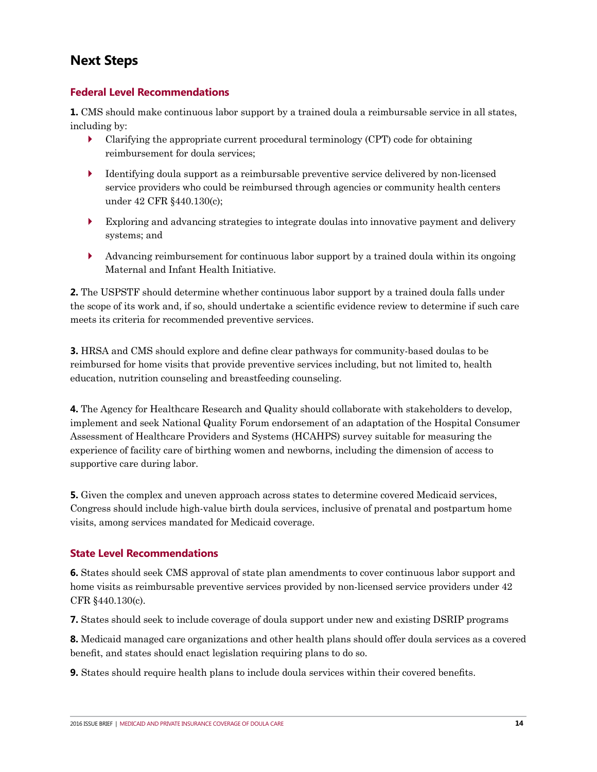# **Next Steps**

## **Federal Level Recommendations**

**1.** CMS should make continuous labor support by a trained doula a reimbursable service in all states, including by:

- ` Clarifying the appropriate current procedural terminology (CPT) code for obtaining reimbursement for doula services;
- ` Identifying doula support as a reimbursable preventive service delivered by non-licensed service providers who could be reimbursed through agencies or community health centers under 42 CFR §440.130(c);
- $\blacktriangleright$  Exploring and advancing strategies to integrate doulas into innovative payment and delivery systems; and
- ` Advancing reimbursement for continuous labor support by a trained doula within its ongoing Maternal and Infant Health Initiative.

**2.** The USPSTF should determine whether continuous labor support by a trained doula falls under the scope of its work and, if so, should undertake a scientific evidence review to determine if such care meets its criteria for recommended preventive services.

**3.** HRSA and CMS should explore and define clear pathways for community-based doulas to be reimbursed for home visits that provide preventive services including, but not limited to, health education, nutrition counseling and breastfeeding counseling.

**4.** The Agency for Healthcare Research and Quality should collaborate with stakeholders to develop, implement and seek National Quality Forum endorsement of an adaptation of the Hospital Consumer Assessment of Healthcare Providers and Systems (HCAHPS) survey suitable for measuring the experience of facility care of birthing women and newborns, including the dimension of access to supportive care during labor.

**5.** Given the complex and uneven approach across states to determine covered Medicaid services, Congress should include high-value birth doula services, inclusive of prenatal and postpartum home visits, among services mandated for Medicaid coverage.

# **State Level Recommendations**

**6.** States should seek CMS approval of state plan amendments to cover continuous labor support and home visits as reimbursable preventive services provided by non-licensed service providers under 42 CFR §440.130(c).

**7.** States should seek to include coverage of doula support under new and existing DSRIP programs

**8.** Medicaid managed care organizations and other health plans should offer doula services as a covered benefit, and states should enact legislation requiring plans to do so.

**9.** States should require health plans to include doula services within their covered benefits.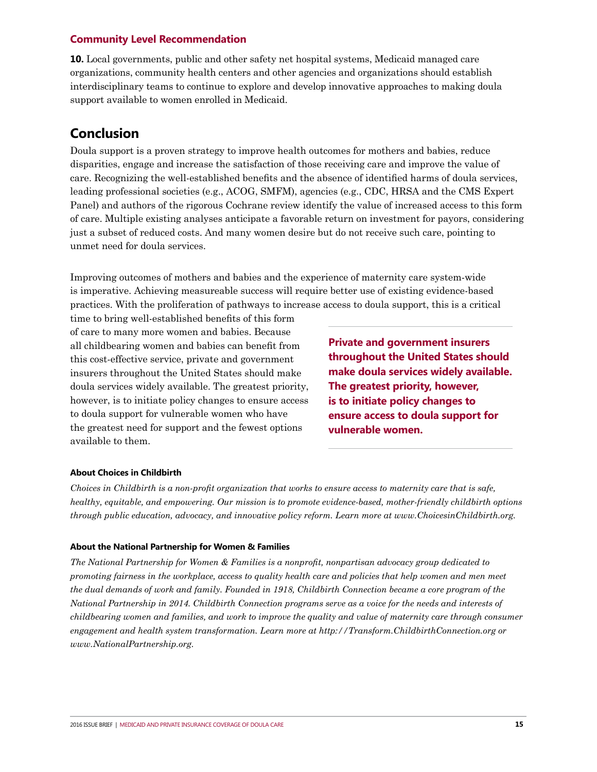#### **Community Level Recommendation**

**10.** Local governments, public and other safety net hospital systems, Medicaid managed care organizations, community health centers and other agencies and organizations should establish interdisciplinary teams to continue to explore and develop innovative approaches to making doula support available to women enrolled in Medicaid.

# **Conclusion**

Doula support is a proven strategy to improve health outcomes for mothers and babies, reduce disparities, engage and increase the satisfaction of those receiving care and improve the value of care. Recognizing the well-established benefits and the absence of identified harms of doula services, leading professional societies (e.g., ACOG, SMFM), agencies (e.g., CDC, HRSA and the CMS Expert Panel) and authors of the rigorous Cochrane review identify the value of increased access to this form of care. Multiple existing analyses anticipate a favorable return on investment for payors, considering just a subset of reduced costs. And many women desire but do not receive such care, pointing to unmet need for doula services.

Improving outcomes of mothers and babies and the experience of maternity care system-wide is imperative. Achieving measureable success will require better use of existing evidence-based practices. With the proliferation of pathways to increase access to doula support, this is a critical

time to bring well-established benefits of this form of care to many more women and babies. Because all childbearing women and babies can benefit from this cost-effective service, private and government insurers throughout the United States should make doula services widely available. The greatest priority, however, is to initiate policy changes to ensure access to doula support for vulnerable women who have the greatest need for support and the fewest options available to them.

**Private and government insurers throughout the United States should make doula services widely available. The greatest priority, however, is to initiate policy changes to ensure access to doula support for vulnerable women.**

#### **About Choices in Childbirth**

*Choices in Childbirth is a non-profit organization that works to ensure access to maternity care that is safe, healthy, equitable, and empowering. Our mission is to promote evidence-based, mother-friendly childbirth options through public education, advocacy, and innovative policy reform. Learn more at www.ChoicesinChildbirth.org.* 

#### **About the National Partnership for Women & Families**

*The National Partnership for Women & Families is a nonprofit, nonpartisan advocacy group dedicated to promoting fairness in the workplace, access to quality health care and policies that help women and men meet the dual demands of work and family. Founded in 1918, Childbirth Connection became a core program of the National Partnership in 2014. Childbirth Connection programs serve as a voice for the needs and interests of childbearing women and families, and work to improve the quality and value of maternity care through consumer engagement and health system transformation. Learn more at http://Transform.ChildbirthConnection.org or www.NationalPartnership.org.*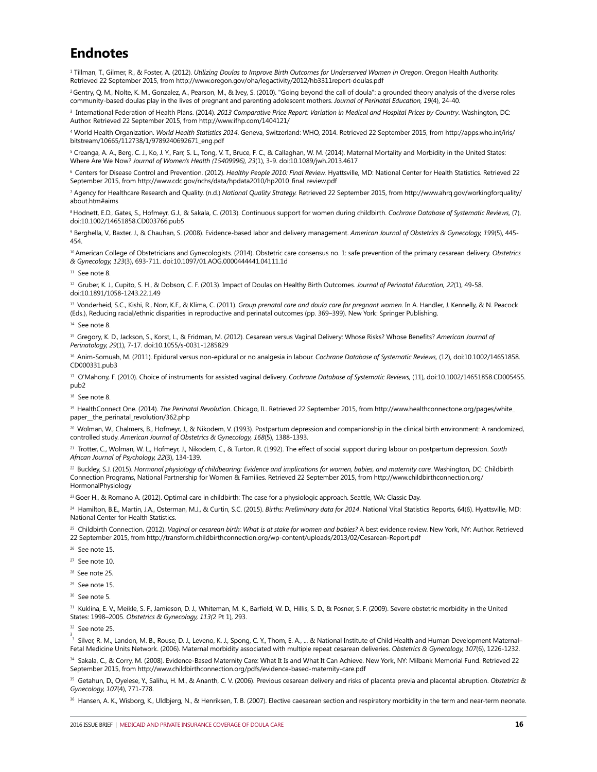# **Endnotes**

1 Tillman, T., Gilmer, R., & Foster, A. (2012). *Utilizing Doulas to Improve Birth Outcomes for Underserved Women in Oregon*. Oregon Health Authority. Retrieved 22 September 2015, from http://www.oregon.gov/oha/legactivity/2012/hb3311report-doulas.pdf

<sup>2</sup> Gentry, Q. M., Nolte, K. M., Gonzalez, A., Pearson, M., & Ivey, S. (2010). "Going beyond the call of doula": a grounded theory analysis of the diverse roles community-based doulas play in the lives of pregnant and parenting adolescent mothers. *Journal of Perinatal Education, 19*(4), 24-40.

<sup>3</sup> International Federation of Health Plans. (2014). *2013 Comparative Price Report: Variation in Medical and Hospital Prices by Country. Washington, DC:* Author. Retrieved 22 September 2015, from http://www.ifhp.com/1404121/

4 World Health Organization. *World Health Statistics 2014*. Geneva, Switzerland: WHO, 2014. Retrieved 22 September 2015, from http://apps.who.int/iris/ bitstream/10665/112738/1/9789240692671\_eng.pdf

<sup>5</sup> Creanga, A. A., Berg, C. J., Ko, J. Y., Farr, S. L., Tong, V. T., Bruce, F. C., & Callaghan, W. M. (2014). Maternal Mortality and Morbidity in the United States: Where Are We Now? *Journal of Women's Health (15409996), 23*(1), 3-9. doi:10.1089/jwh.2013.4617

6 Centers for Disease Control and Prevention. (2012). *Healthy People 2010: Final Review.* Hyattsville, MD: National Center for Health Statistics. Retrieved 22 September 2015, from http://www.cdc.gov/nchs/data/hpdata2010/hp2010\_final\_review.pdf

7 Agency for Healthcare Research and Quality. (n.d.) *National Quality Strategy.* Retrieved 22 September 2015, from http://www.ahrq.gov/workingforquality/ about.htm#aims

8 Hodnett, E.D., Gates, S., Hofmeyr, G.J., & Sakala, C. (2013). Continuous support for women during childbirth. *Cochrane Database of Systematic Reviews,* (7), doi:10.1002/14651858.CD003766.pub5

<sup>9</sup> Berghella, V., Baxter, J., & Chauhan, S. (2008). Evidence-based labor and delivery management. *American Journal of Obstetrics & Gynecology, 199*(5), 445-454.

10 American College of Obstetricians and Gynecologists. (2014). Obstetric care consensus no. 1: safe prevention of the primary cesarean delivery. *Obstetrics & Gynecology, 123*(3), 693-711. doi:10.1097/01.AOG.0000444441.04111.1d

11 See note 8.

<sup>12</sup> Gruber, K. J., Cupito, S. H., & Dobson, C. F. (2013). Impact of Doulas on Healthy Birth Outcomes. *Journal of Perinatal Education, 22*(1), 49-58. doi:10.1891/1058-1243.22.1.49

<sup>13</sup> Vonderheid, S.C., Kishi, R., Norr, K.F., & Klima, C. (2011). Group prenatal care and doula care for pregnant women. In A. Handler, J. Kennelly, & N. Peacock (Eds.), Reducing racial/ethnic disparities in reproductive and perinatal outcomes (pp. 369–399). New York: Springer Publishing.

14 See note 8.

<sup>15</sup>Gregory, K. D., Jackson, S., Korst, L., & Fridman, M. (2012). Cesarean versus Vaginal Delivery: Whose Risks? Whose Benefits? *American Journal of Perinatology, 29*(1), 7-17. doi:10.1055/s-0031-1285829

<sup>16</sup> Anim-Somuah, M. (2011). Epidural versus non-epidural or no analgesia in labour. *Cochrane Database of Systematic Reviews*, (12), doi:10.1002/14651858. CD000331.pub3

17 O'Mahony, F. (2010). Choice of instruments for assisted vaginal delivery. *Cochrane Database of Systematic Reviews,* (11), doi:10.1002/14651858.CD005455. pub2

 $18$  See note 8.

19 HealthConnect One. (2014). *The Perinatal Revolution*. Chicago, IL. Retrieved 22 September 2015, from http://www.healthconnectone.org/pages/white\_ paper\_\_the\_perinatal\_revolution/362.php

<sup>20</sup> Wolman, W., Chalmers, B., Hofmeyr, J., & Nikodem, V. (1993). Postpartum depression and companionship in the clinical birth environment: A randomized, controlled study. *American Journal of Obstetrics & Gynecology, 168*(5), 1388-1393.

<sup>21</sup> Trotter, C., Wolman, W. L., Hofmeyr, J., Nikodem, C., & Turton, R. (1992). The effect of social support during labour on postpartum depression. *South African Journal of Psychology, 22*(3), 134-139.

22 Buckley, S.J. (2015). *Hormonal physiology of childbearing: Evidence and implications for women, babies, and maternity care.* Washington, DC: Childbirth Connection Programs, National Partnership for Women & Families. Retrieved 22 September 2015, from http://www.childbirthconnection.org/ **HormonalPhysiology** 

<sup>23</sup> Goer H., & Romano A. (2012). Optimal care in childbirth: The case for a physiologic approach. Seattle, WA: Classic Day.

24 Hamilton, B.E., Martin, J.A., Osterman, M.J., & Curtin, S.C. (2015). *Births: Preliminary data for 2014*. National Vital Statistics Reports, 64(6). Hyattsville, MD: National Center for Health Statistics.

<sup>25</sup> Childbirth Connection. (2012). Vaginal or cesarean birth: What is at stake for women and babies? A best evidence review. New York, NY: Author. Retrieved 22 September 2015, from http://transform.childbirthconnection.org/wp-content/uploads/2013/02/Cesarean-Report.pdf

26 See note 15.

 $27$  See note 10.

28 See note 25.

- <sup>29</sup> See note 15.
- <sup>30</sup> See note 5.

<sup>31</sup> Kuklina, E. V., Meikle, S. F., Jamieson, D. J., Whiteman, M. K., Barfield, W. D., Hillis, S. D., & Posner, S. F. (2009). Severe obstetric morbidity in the United States: 1998–2005. *Obstetrics & Gynecology, 113(*2 Pt 1), 293.

 $32$  See note 25.

<sup>3</sup> Silver, R. M., Landon, M. B., Rouse, D. J., Leveno, K. J., Spong, C. Y., Thom, E. A., ... & National Institute of Child Health and Human Development Maternal– Fetal Medicine Units Network. (2006). Maternal morbidity associated with multiple repeat cesarean deliveries. *Obstetrics & Gynecology, 107*(6), 1226-1232.

34 Sakala, C., & Corry, M. (2008). Evidence-Based Maternity Care: What It Is and What It Can Achieve. New York, NY: Milbank Memorial Fund. Retrieved 22 September 2015, from http://www.childbirthconnection.org/pdfs/evidence-based-maternity-care.pdf

35 Getahun, D., Oyelese, Y., Salihu, H. M., & Ananth, C. V. (2006). Previous cesarean delivery and risks of placenta previa and placental abruption. *Obstetrics & Gynecology, 107*(4), 771-778.

36 Hansen, A. K., Wisborg, K., Uldbjerg, N., & Henriksen, T. B. (2007). Elective caesarean section and respiratory morbidity in the term and near-term neonate.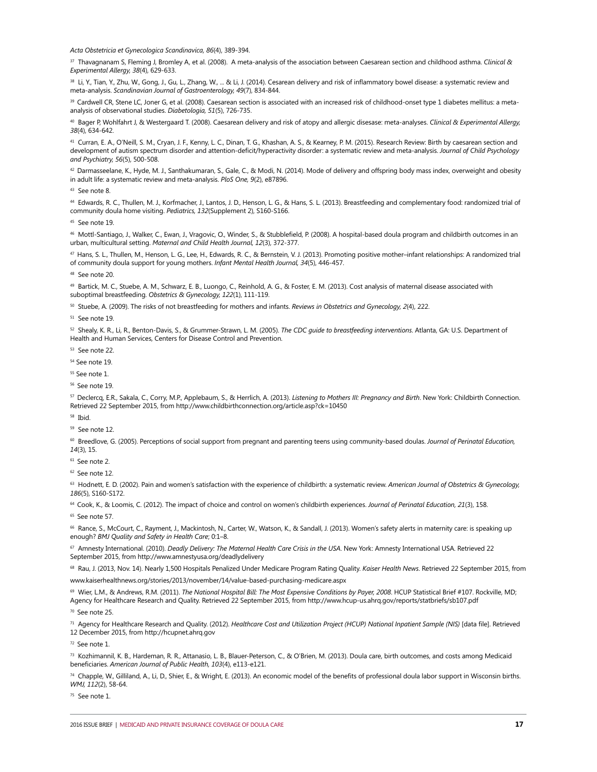*Acta Obstetricia et Gynecologica Scandinavica, 86*(4), 389-394.

<sup>37</sup> Thavagnanam S, Fleming J, Bromley A, et al. (2008). A meta‐analysis of the association between Caesarean section and childhood asthma. *Clinical & Experimental Allergy, 38*(4), 629-633.

38 Li, Y., Tian, Y., Zhu, W., Gong, J., Gu, L., Zhang, W., ... & Li, J. (2014). Cesarean delivery and risk of inflammatory bowel disease: a systematic review and meta-analysis. *Scandinavian Journal of Gastroenterology, 49*(7), 834-844.

39 Cardwell CR, Stene LC, Joner G, et al. (2008). Caesarean section is associated with an increased risk of childhood-onset type 1 diabetes mellitus: a metaanalysis of observational studies. *Diabetologia, 51*(5), 726-735.

<sup>40</sup> Bager P, Wohlfahrt J, & Westergaard T. (2008). Caesarean delivery and risk of atopy and allergic disesase: meta‐analyses. *Clinical & Experimental Allergy, 38*(4), 634-642.

<sup>41</sup> Curran, E. A., O'Neill, S. M., Cryan, J. F., Kenny, L. C., Dinan, T. G., Khashan, A. S., & Kearney, P. M. (2015). Research Review: Birth by caesarean section and development of autism spectrum disorder and attention‐deficit/hyperactivity disorder: a systematic review and meta‐analysis. *Journal of Child Psychology and Psychiatry, 56*(5), 500-508.

42 Darmasseelane, K., Hyde, M. J., Santhakumaran, S., Gale, C., & Modi, N. (2014). Mode of delivery and offspring body mass index, overweight and obesity in adult life: a systematic review and meta-analysis. *PloS One, 9*(2), e87896.

43 See note 8.

44 Edwards, R. C., Thullen, M. J., Korfmacher, J., Lantos, J. D., Henson, L. G., & Hans, S. L. (2013). Breastfeeding and complementary food: randomized trial of community doula home visiting. *Pediatrics, 132*(Supplement 2), S160-S166.

<sup>45</sup> See note 19.

<sup>46</sup> Mottl-Santiago, J., Walker, C., Ewan, J., Vragovic, O., Winder, S., & Stubblefield, P. (2008). A hospital-based doula program and childbirth outcomes in an urban, multicultural setting. *Maternal and Child Health Journal, 12*(3), 372-377.

47 Hans, S. L., Thullen, M., Henson, L. G., Lee, H., Edwards, R. C., & Bernstein, V. J. (2013). Promoting positive mother–infant relationships: A randomized trial of community doula support for young mothers. *Infant Mental Health Journal, 34*(5), 446-457.

48 See note 20.

49 Bartick, M. C., Stuebe, A. M., Schwarz, E. B., Luongo, C., Reinhold, A. G., & Foster, E. M. (2013). Cost analysis of maternal disease associated with suboptimal breastfeeding. *Obstetrics & Gynecology, 122*(1), 111-119.

50 Stuebe, A. (2009). The risks of not breastfeeding for mothers and infants. *Reviews in Obstetrics and Gynecology, 2*(4), 222.

 $51$  See note 19

<sup>52</sup> Shealy, K. R., Li, R., Benton-Davis, S., & Grummer-Strawn, L. M. (2005). *The CDC guide to breastfeeding interventions*. Atlanta, GA: U.S. Department of Health and Human Services, Centers for Disease Control and Prevention.

53 See note 22.

<sup>54</sup> See note 19.

<sup>55</sup> See note 1.

56 See note 19.

57 Declercq, E.R., Sakala, C., Corry, M.P., Applebaum, S., & Herrlich, A. (2013). *Listening to Mothers III: Pregnancy and Birth*. New York: Childbirth Connection. Retrieved 22 September 2015, from http://www.childbirthconnection.org/article.asp?ck=10450

58 Ibid.

<sup>59</sup> See note 12.

<sup>60</sup> Breedlove, G. (2005). Perceptions of social support from pregnant and parenting teens using community-based doulas. *Journal of Perinatal Education, 14*(3), 15.

61 See note 2.

62 See note 12.

<sup>63</sup> Hodnett, E. D. (2002). Pain and women's satisfaction with the experience of childbirth: a systematic review. American Journal of Obstetrics & Gynecology, *186*(5), S160-S172.

<sup>64</sup> Cook, K., & Loomis, C. (2012). The impact of choice and control on women's childbirth experiences. *Journal of Perinatal Education*, 21(3), 158.

<sup>65</sup> See note 57.

<sup>66</sup> Rance, S., McCourt, C., Rayment, J., Mackintosh, N., Carter, W., Watson, K., & Sandall, J. (2013). Women's safety alerts in maternity care: is speaking up enough? *BMJ Quality and Safety in Health Care*; 0:1–8.

67 Amnesty International. (2010). *Deadly Delivery: The Maternal Health Care Crisis in the USA*. New York: Amnesty International USA. Retrieved 22 September 2015, from http://www.amnestyusa.org/deadlydelivery

68 Rau, J. (2013, Nov. 14). Nearly 1,500 Hospitals Penalized Under Medicare Program Rating Quality. *Kaiser Health News*. Retrieved 22 September 2015, from

www.kaiserhealthnews.org/stories/2013/november/14/value-based-purchasing-medicare.aspx

69 Wier, L.M., & Andrews, R.M. (2011). The National Hospital Bill: The Most Expensive Conditions by Payer, 2008. HCUP Statistical Brief #107. Rockville, MD; Agency for Healthcare Research and Quality. Retrieved 22 September 2015, from http://www.hcup-us.ahrq.gov/reports/statbriefs/sb107.pdf

70 See note 25.

71 Agency for Healthcare Research and Quality. (2012). *Healthcare Cost and Utilization Project (HCUP) National Inpatient Sample (NIS)* [data file]. Retrieved 12 December 2015, from http://hcupnet.ahrq.gov

72 See note 1.

<sup>73</sup> Kozhimannil, K. B., Hardeman, R. R., Attanasio, L. B., Blauer-Peterson, C., & O'Brien, M. (2013). Doula care, birth outcomes, and costs among Medicaid beneficiaries. *American Journal of Public Health, 103*(4), e113-e121.

74 Chapple, W., Gilliland, A., Li, D., Shier, E., & Wright, E. (2013). An economic model of the benefits of professional doula labor support in Wisconsin births. *WMJ, 112*(2), 58-64.

75 See note 1.